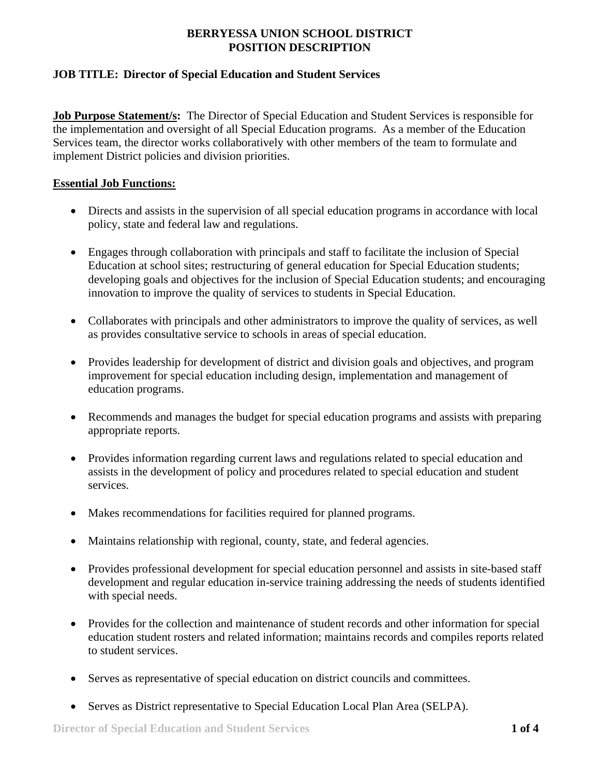### **JOB TITLE: Director of Special Education and Student Services**

**Job Purpose Statement/s:** The Director of Special Education and Student Services is responsible for the implementation and oversight of all Special Education programs. As a member of the Education Services team, the director works collaboratively with other members of the team to formulate and implement District policies and division priorities.

#### **Essential Job Functions:**

- Directs and assists in the supervision of all special education programs in accordance with local policy, state and federal law and regulations.
- Engages through collaboration with principals and staff to facilitate the inclusion of Special Education at school sites; restructuring of general education for Special Education students; developing goals and objectives for the inclusion of Special Education students; and encouraging innovation to improve the quality of services to students in Special Education.
- Collaborates with principals and other administrators to improve the quality of services, as well as provides consultative service to schools in areas of special education.
- Provides leadership for development of district and division goals and objectives, and program improvement for special education including design, implementation and management of education programs.
- Recommends and manages the budget for special education programs and assists with preparing appropriate reports.
- Provides information regarding current laws and regulations related to special education and assists in the development of policy and procedures related to special education and student services.
- Makes recommendations for facilities required for planned programs.
- Maintains relationship with regional, county, state, and federal agencies.
- Provides professional development for special education personnel and assists in site-based staff development and regular education in-service training addressing the needs of students identified with special needs.
- Provides for the collection and maintenance of student records and other information for special education student rosters and related information; maintains records and compiles reports related to student services.
- Serves as representative of special education on district councils and committees.
- Serves as District representative to Special Education Local Plan Area (SELPA).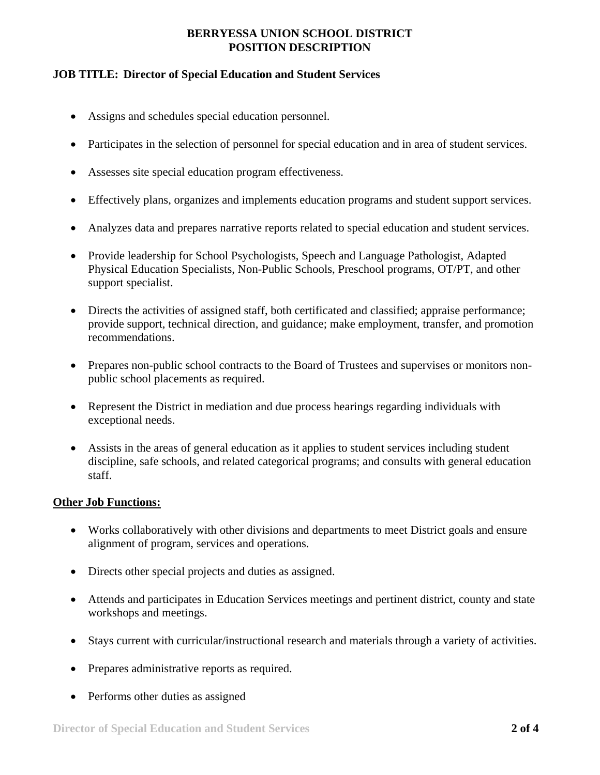#### **JOB TITLE: Director of Special Education and Student Services**

- Assigns and schedules special education personnel.
- Participates in the selection of personnel for special education and in area of student services.
- Assesses site special education program effectiveness.
- Effectively plans, organizes and implements education programs and student support services.
- Analyzes data and prepares narrative reports related to special education and student services.
- Provide leadership for School Psychologists, Speech and Language Pathologist, Adapted Physical Education Specialists, Non-Public Schools, Preschool programs, OT/PT, and other support specialist.
- Directs the activities of assigned staff, both certificated and classified; appraise performance; provide support, technical direction, and guidance; make employment, transfer, and promotion recommendations.
- Prepares non-public school contracts to the Board of Trustees and supervises or monitors nonpublic school placements as required.
- Represent the District in mediation and due process hearings regarding individuals with exceptional needs.
- Assists in the areas of general education as it applies to student services including student discipline, safe schools, and related categorical programs; and consults with general education staff.

#### **Other Job Functions:**

- Works collaboratively with other divisions and departments to meet District goals and ensure alignment of program, services and operations.
- Directs other special projects and duties as assigned.
- Attends and participates in Education Services meetings and pertinent district, county and state workshops and meetings.
- Stays current with curricular/instructional research and materials through a variety of activities.
- Prepares administrative reports as required.
- Performs other duties as assigned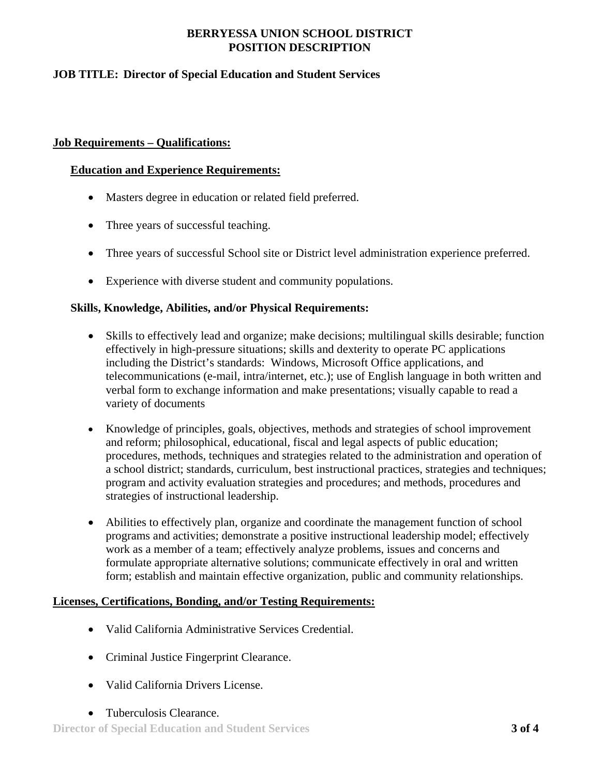### **JOB TITLE: Director of Special Education and Student Services**

#### **Job Requirements – Qualifications:**

#### **Education and Experience Requirements:**

- Masters degree in education or related field preferred.
- Three years of successful teaching.
- Three years of successful School site or District level administration experience preferred.
- Experience with diverse student and community populations.

#### **Skills, Knowledge, Abilities, and/or Physical Requirements:**

- Skills to effectively lead and organize; make decisions; multilingual skills desirable; function effectively in high-pressure situations; skills and dexterity to operate PC applications including the District's standards: Windows, Microsoft Office applications, and telecommunications (e-mail, intra/internet, etc.); use of English language in both written and verbal form to exchange information and make presentations; visually capable to read a variety of documents
- Knowledge of principles, goals, objectives, methods and strategies of school improvement and reform; philosophical, educational, fiscal and legal aspects of public education; procedures, methods, techniques and strategies related to the administration and operation of a school district; standards, curriculum, best instructional practices, strategies and techniques; program and activity evaluation strategies and procedures; and methods, procedures and strategies of instructional leadership.
- Abilities to effectively plan, organize and coordinate the management function of school programs and activities; demonstrate a positive instructional leadership model; effectively work as a member of a team; effectively analyze problems, issues and concerns and formulate appropriate alternative solutions; communicate effectively in oral and written form; establish and maintain effective organization, public and community relationships.

#### **Licenses, Certifications, Bonding, and/or Testing Requirements:**

- Valid California Administrative Services Credential.
- Criminal Justice Fingerprint Clearance.
- Valid California Drivers License.
- Tuberculosis Clearance.

**Director of Special Education and Student Services 3 of 4**